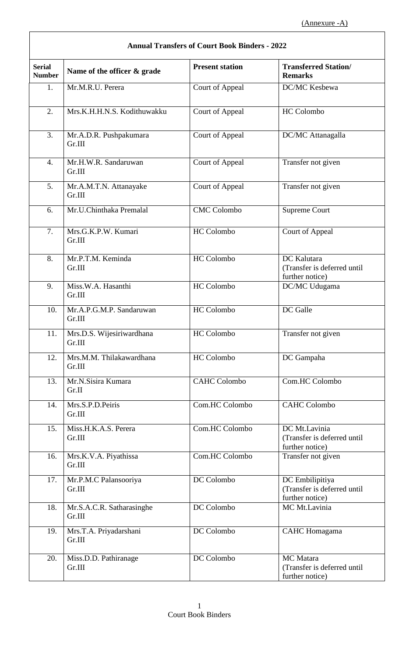| <b>Annual Transfers of Court Book Binders - 2022</b> |                                     |                        |                                                                    |  |
|------------------------------------------------------|-------------------------------------|------------------------|--------------------------------------------------------------------|--|
| <b>Serial</b><br><b>Number</b>                       | Name of the officer & grade         | <b>Present station</b> | <b>Transferred Station/</b><br><b>Remarks</b>                      |  |
| 1.                                                   | Mr.M.R.U. Perera                    | Court of Appeal        | DC/MC Kesbewa                                                      |  |
| 2.                                                   | Mrs.K.H.H.N.S. Kodithuwakku         | Court of Appeal        | <b>HC</b> Colombo                                                  |  |
| 3.                                                   | Mr.A.D.R. Pushpakumara<br>Gr.III    | Court of Appeal        | DC/MC Attanagalla                                                  |  |
| 4.                                                   | Mr.H.W.R. Sandaruwan<br>Gr.III      | Court of Appeal        | Transfer not given                                                 |  |
| 5.                                                   | Mr.A.M.T.N. Attanayake<br>Gr.III    | Court of Appeal        | Transfer not given                                                 |  |
| 6.                                                   | Mr.U.Chinthaka Premalal             | <b>CMC</b> Colombo     | <b>Supreme Court</b>                                               |  |
| 7.                                                   | Mrs.G.K.P.W. Kumari<br>Gr.III       | <b>HC</b> Colombo      | Court of Appeal                                                    |  |
| 8.                                                   | Mr.P.T.M. Keminda<br>Gr.III         | <b>HC</b> Colombo      | DC Kalutara<br>(Transfer is deferred until<br>further notice)      |  |
| 9.                                                   | Miss.W.A. Hasanthi<br>Gr.III        | <b>HC</b> Colombo      | DC/MC Udugama                                                      |  |
| 10.                                                  | Mr.A.P.G.M.P. Sandaruwan<br>Gr.III  | <b>HC</b> Colombo      | DC Galle                                                           |  |
| 11.                                                  | Mrs.D.S. Wijesiriwardhana<br>Gr.III | HC Colombo             | Transfer not given                                                 |  |
| 12.                                                  | Mrs.M.M. Thilakawardhana<br>Gr.III  | HC Colombo             | DC Gampaha                                                         |  |
| 13.                                                  | Mr.N.Sisira Kumara<br>Gr.II         | <b>CAHC Colombo</b>    | Com.HC Colombo                                                     |  |
| 14.                                                  | Mrs.S.P.D.Peiris<br>Gr.III          | Com.HC Colombo         | <b>CAHC Colombo</b>                                                |  |
| 15.                                                  | Miss.H.K.A.S. Perera<br>Gr.III      | Com.HC Colombo         | DC Mt.Lavinia<br>(Transfer is deferred until<br>further notice)    |  |
| 16.                                                  | Mrs.K.V.A. Piyathissa<br>Gr.III     | Com.HC Colombo         | Transfer not given                                                 |  |
| 17.                                                  | Mr.P.M.C Palansooriya<br>Gr.III     | DC Colombo             | DC Embilipitiya<br>(Transfer is deferred until<br>further notice)  |  |
| 18.                                                  | Mr.S.A.C.R. Satharasinghe<br>Gr.III | DC Colombo             | MC Mt.Lavinia                                                      |  |
| 19.                                                  | Mrs.T.A. Priyadarshani<br>Gr.III    | DC Colombo             | <b>CAHC</b> Homagama                                               |  |
| 20.                                                  | Miss.D.D. Pathiranage<br>Gr.III     | DC Colombo             | <b>MC</b> Matara<br>(Transfer is deferred until<br>further notice) |  |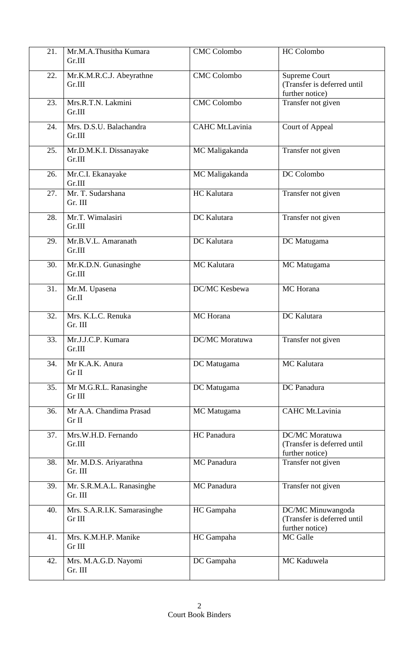| 21. | Mr.M.A.Thusitha Kumara<br>Gr.III       | <b>CMC Colombo</b>    | <b>HC</b> Colombo                                                      |
|-----|----------------------------------------|-----------------------|------------------------------------------------------------------------|
| 22. | Mr.K.M.R.C.J. Abeyrathne<br>Gr.III     | <b>CMC</b> Colombo    | <b>Supreme Court</b><br>(Transfer is deferred until<br>further notice) |
| 23. | Mrs.R.T.N. Lakmini<br>Gr.III           | <b>CMC</b> Colombo    | Transfer not given                                                     |
| 24. | Mrs. D.S.U. Balachandra<br>Gr.III      | CAHC Mt.Lavinia       | Court of Appeal                                                        |
| 25. | Mr.D.M.K.I. Dissanayake<br>Gr.III      | MC Maligakanda        | Transfer not given                                                     |
| 26. | Mr.C.I. Ekanayake<br>Gr.III            | MC Maligakanda        | DC Colombo                                                             |
| 27. | Mr. T. Sudarshana<br>Gr. III           | HC Kalutara           | Transfer not given                                                     |
| 28. | Mr.T. Wimalasiri<br>Gr.III             | DC Kalutara           | Transfer not given                                                     |
| 29. | Mr.B.V.L. Amaranath<br>Gr.III          | DC Kalutara           | DC Matugama                                                            |
| 30. | Mr.K.D.N. Gunasinghe<br>Gr.III         | MC Kalutara           | MC Matugama                                                            |
| 31. | Mr.M. Upasena<br>Gr.II                 | DC/MC Kesbewa         | MC Horana                                                              |
| 32. | Mrs. K.L.C. Renuka<br>Gr. III          | MC Horana             | DC Kalutara                                                            |
| 33. | Mr.J.J.C.P. Kumara<br>Gr.III           | <b>DC/MC</b> Moratuwa | Transfer not given                                                     |
| 34. | Mr K.A.K. Anura<br>Gr II               | DC Matugama           | MC Kalutara                                                            |
| 35. | Mr M.G.R.L. Ranasinghe<br>Gr III       | DC Matugama           | DC Panadura                                                            |
| 36. | Mr A.A. Chandima Prasad<br>Gr II       | MC Matugama           | CAHC Mt.Lavinia                                                        |
| 37. | Mrs.W.H.D. Fernando<br>Gr.III          | HC Panadura           | DC/MC Moratuwa<br>(Transfer is deferred until<br>further notice)       |
| 38. | Mr. M.D.S. Ariyarathna<br>Gr. III      | MC Panadura           | Transfer not given                                                     |
| 39. | Mr. S.R.M.A.L. Ranasinghe<br>Gr. III   | MC Panadura           | Transfer not given                                                     |
| 40. | Mrs. S.A.R.I.K. Samarasinghe<br>Gr III | HC Gampaha            | DC/MC Minuwangoda<br>(Transfer is deferred until<br>further notice)    |
| 41. | Mrs. K.M.H.P. Manike<br>Gr III         | HC Gampaha            | MC Galle                                                               |
| 42. | Mrs. M.A.G.D. Nayomi<br>Gr. III        | DC Gampaha            | MC Kaduwela                                                            |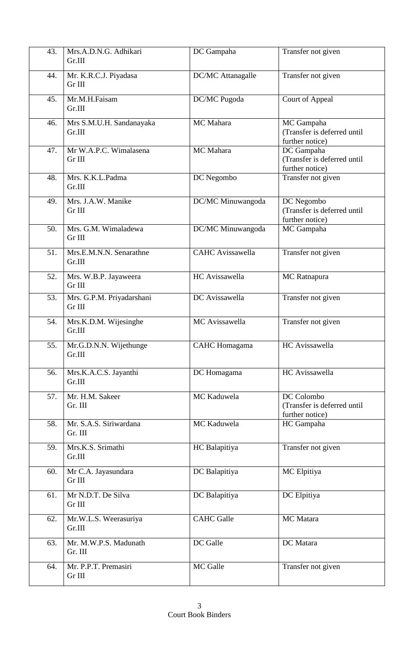| 43. | Mrs.A.D.N.G. Adhikari<br>Gr.III     | DC Gampaha              | Transfer not given                                           |
|-----|-------------------------------------|-------------------------|--------------------------------------------------------------|
| 44. | Mr. K.R.C.J. Piyadasa<br>Gr III     | DC/MC Attanagalle       | Transfer not given                                           |
| 45. | Mr.M.H.Faisam<br>Gr.III             | DC/MC Pugoda            | Court of Appeal                                              |
| 46. | Mrs S.M.U.H. Sandanayaka<br>Gr.III  | MC Mahara               | MC Gampaha<br>(Transfer is deferred until<br>further notice) |
| 47. | Mr W.A.P.C. Wimalasena<br>Gr III    | MC Mahara               | DC Gampaha<br>(Transfer is deferred until<br>further notice) |
| 48. | Mrs. K.K.L.Padma<br>Gr.III          | DC Negombo              | Transfer not given                                           |
| 49. | Mrs. J.A.W. Manike<br>Gr III        | DC/MC Minuwangoda       | DC Negombo<br>(Transfer is deferred until<br>further notice) |
| 50. | Mrs. G.M. Wimaladewa<br>Gr III      | DC/MC Minuwangoda       | MC Gampaha                                                   |
| 51. | Mrs.E.M.N.N. Senarathne<br>Gr.III   | <b>CAHC Avissawella</b> | Transfer not given                                           |
| 52. | Mrs. W.B.P. Jayaweera<br>Gr III     | HC Avissawella          | MC Ratnapura                                                 |
| 53. | Mrs. G.P.M. Priyadarshani<br>Gr III | DC Avissawella          | Transfer not given                                           |
| 54. | Mrs.K.D.M. Wijesinghe<br>Gr.III     | MC Avissawella          | Transfer not given                                           |
| 55. | Mr.G.D.N.N. Wijethunge<br>Gr.III    | <b>CAHC</b> Homagama    | HC Avissawella                                               |
| 56. | Mrs.K.A.C.S. Jayanthi<br>Gr.III     | DC Homagama             | HC Avissawella                                               |
| 57. | Mr. H.M. Sakeer<br>Gr. III          | MC Kaduwela             | DC Colombo<br>(Transfer is deferred until<br>further notice) |
| 58. | Mr. S.A.S. Siriwardana<br>Gr. III   | MC Kaduwela             | HC Gampaha                                                   |
| 59. | Mrs.K.S. Srimathi<br>Gr.III         | HC Balapitiya           | Transfer not given                                           |
| 60. | Mr C.A. Jayasundara<br>Gr III       | DC Balapitiya           | MC Elpitiya                                                  |
| 61. | Mr N.D.T. De Silva<br>Gr III        | DC Balapitiya           | DC Elpitiya                                                  |
| 62. | Mr.W.L.S. Weerasuriya<br>Gr.III     | <b>CAHC</b> Galle       | MC Matara                                                    |
| 63. | Mr. M.W.P.S. Madunath<br>Gr. III    | DC Galle                | DC Matara                                                    |
| 64. | Mr. P.P.T. Premasiri<br>Gr III      | MC Galle                | Transfer not given                                           |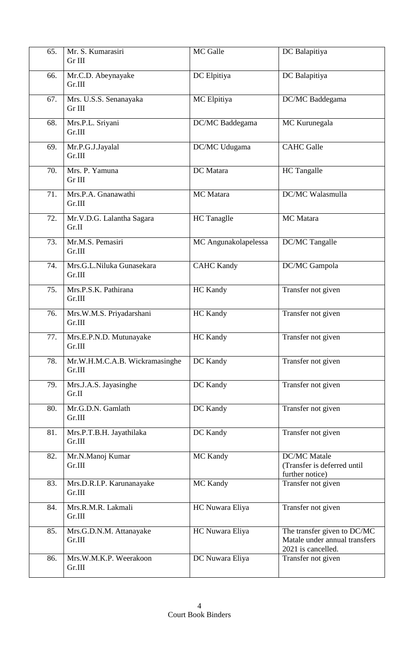| 65. | Mr. S. Kumarasiri<br>Gr III              | MC Galle             | DC Balapitiya                                                                      |
|-----|------------------------------------------|----------------------|------------------------------------------------------------------------------------|
| 66. | Mr.C.D. Abeynayake<br>Gr.III             | DC Elpitiya          | DC Balapitiya                                                                      |
| 67. | Mrs. U.S.S. Senanayaka<br>Gr III         | MC Elpitiya          | DC/MC Baddegama                                                                    |
| 68. | Mrs.P.L. Sriyani<br>Gr.III               | DC/MC Baddegama      | MC Kurunegala                                                                      |
| 69. | Mr.P.G.J.Jayalal<br>Gr.III               | DC/MC Udugama        | <b>CAHC</b> Galle                                                                  |
| 70. | Mrs. P. Yamuna<br>Gr III                 | DC Matara            | <b>HC</b> Tangalle                                                                 |
| 71. | Mrs.P.A. Gnanawathi<br>Gr.III            | MC Matara            | DC/MC Walasmulla                                                                   |
| 72. | Mr.V.D.G. Lalantha Sagara<br>Gr.II       | HC Tanaglle          | MC Matara                                                                          |
| 73. | Mr.M.S. Pemasiri<br>Gr.III               | MC Angunakolapelessa | DC/MC Tangalle                                                                     |
| 74. | Mrs.G.L.Niluka Gunasekara<br>Gr.III      | <b>CAHC Kandy</b>    | DC/MC Gampola                                                                      |
| 75. | Mrs.P.S.K. Pathirana<br>Gr.III           | <b>HC Kandy</b>      | Transfer not given                                                                 |
| 76. | Mrs.W.M.S. Priyadarshani<br>Gr.III       | HC Kandy             | Transfer not given                                                                 |
| 77. | Mrs.E.P.N.D. Mutunayake<br>Gr.III        | HC Kandy             | Transfer not given                                                                 |
| 78. | Mr.W.H.M.C.A.B. Wickramasinghe<br>Gr.III | DC Kandy             | Transfer not given                                                                 |
| 79. | Mrs.J.A.S. Jayasinghe<br>Gr.II           | DC Kandy             | Transfer not given                                                                 |
| 80. | Mr.G.D.N. Gamlath<br>Gr.III              | DC Kandy             | Transfer not given                                                                 |
| 81. | Mrs.P.T.B.H. Jayathilaka<br>Gr.III       | DC Kandy             | Transfer not given                                                                 |
| 82. | Mr.N.Manoj Kumar<br>Gr.III               | MC Kandy             | <b>DC/MC</b> Matale<br>(Transfer is deferred until<br>further notice)              |
| 83. | Mrs.D.R.I.P. Karunanayake<br>Gr.III      | MC Kandy             | Transfer not given                                                                 |
| 84. | Mrs.R.M.R. Lakmali<br>Gr.III             | HC Nuwara Eliya      | Transfer not given                                                                 |
| 85. | Mrs.G.D.N.M. Attanayake<br>Gr.III        | HC Nuwara Eliya      | The transfer given to DC/MC<br>Matale under annual transfers<br>2021 is cancelled. |
| 86. | Mrs.W.M.K.P. Weerakoon<br>Gr.III         | DC Nuwara Eliya      | Transfer not given                                                                 |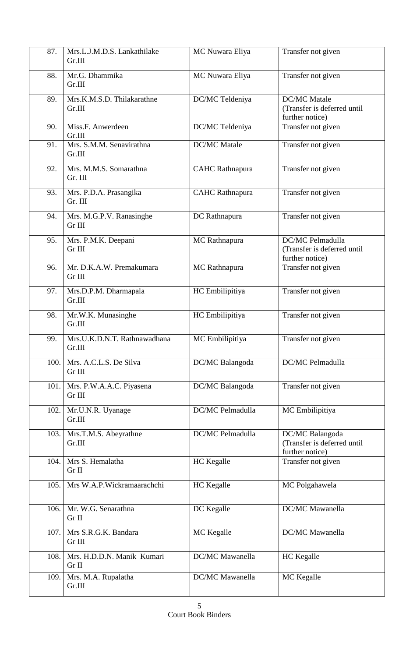| 87.  | Mrs.L.J.M.D.S. Lankathilake<br>Gr.III  | MC Nuwara Eliya        | Transfer not given                                                    |
|------|----------------------------------------|------------------------|-----------------------------------------------------------------------|
| 88.  | Mr.G. Dhammika<br>Gr.III               | MC Nuwara Eliya        | Transfer not given                                                    |
| 89.  | Mrs.K.M.S.D. Thilakarathne<br>Gr.III   | DC/MC Teldeniya        | <b>DC/MC</b> Matale<br>(Transfer is deferred until<br>further notice) |
| 90.  | Miss.F. Anwerdeen<br>Gr.III            | DC/MC Teldeniya        | Transfer not given                                                    |
| 91.  | Mrs. S.M.M. Senavirathna<br>Gr.III     | <b>DC/MC</b> Matale    | Transfer not given                                                    |
| 92.  | Mrs. M.M.S. Somarathna<br>Gr. III      | <b>CAHC</b> Rathnapura | Transfer not given                                                    |
| 93.  | Mrs. P.D.A. Prasangika<br>Gr. III      | <b>CAHC</b> Rathnapura | Transfer not given                                                    |
| 94.  | Mrs. M.G.P.V. Ranasinghe<br>Gr III     | DC Rathnapura          | Transfer not given                                                    |
| 95.  | Mrs. P.M.K. Deepani<br>Gr III          | MC Rathnapura          | DC/MC Pelmadulla<br>(Transfer is deferred until<br>further notice)    |
| 96.  | Mr. D.K.A.W. Premakumara<br>Gr III     | MC Rathnapura          | Transfer not given                                                    |
| 97.  | Mrs.D.P.M. Dharmapala<br>Gr.III        | HC Embilipitiya        | Transfer not given                                                    |
| 98.  | Mr.W.K. Munasinghe<br>Gr.III           | HC Embilipitiya        | Transfer not given                                                    |
| 99.  | Mrs.U.K.D.N.T. Rathnawadhana<br>Gr.III | MC Embilipitiya        | Transfer not given                                                    |
| 100. | Mrs. A.C.L.S. De Silva<br>Gr III       | DC/MC Balangoda        | DC/MC Pelmadulla                                                      |
| 101. | Mrs. P.W.A.A.C. Piyasena<br>Gr III     | DC/MC Balangoda        | Transfer not given                                                    |
| 102. | Mr.U.N.R. Uyanage<br>Gr.III            | DC/MC Pelmadulla       | MC Embilipitiya                                                       |
| 103. | Mrs.T.M.S. Abeyrathne<br>Gr.III        | DC/MC Pelmadulla       | DC/MC Balangoda<br>(Transfer is deferred until<br>further notice)     |
| 104. | Mrs S. Hemalatha<br>Gr II              | <b>HC</b> Kegalle      | Transfer not given                                                    |
| 105. | Mrs W.A.P.Wickramaarachchi             | HC Kegalle             | MC Polgahawela                                                        |
| 106. | Mr. W.G. Senarathna<br>Gr II           | DC Kegalle             | DC/MC Mawanella                                                       |
| 107. | Mrs S.R.G.K. Bandara<br>Gr III         | MC Kegalle             | DC/MC Mawanella                                                       |
| 108. | Mrs. H.D.D.N. Manik Kumari<br>Gr II    | DC/MC Mawanella        | <b>HC</b> Kegalle                                                     |
| 109. | Mrs. M.A. Rupalatha<br>Gr.III          | DC/MC Mawanella        | MC Kegalle                                                            |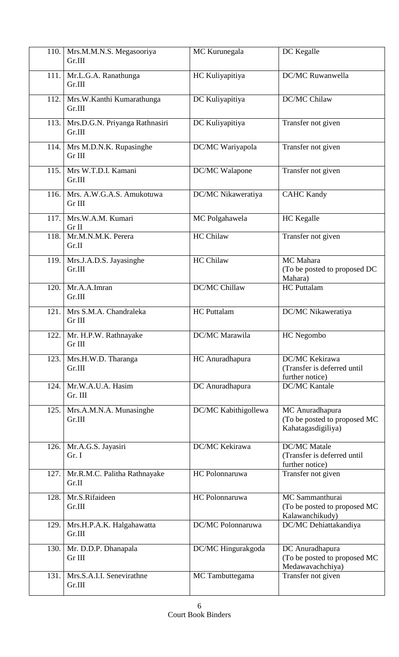| 110. | Mrs.M.M.N.S. Megasooriya<br>Gr.III       | MC Kurunegala        | DC Kegalle                                                            |
|------|------------------------------------------|----------------------|-----------------------------------------------------------------------|
| 111. | Mr.L.G.A. Ranathunga<br>Gr.III           | HC Kuliyapitiya      | <b>DC/MC Ruwanwella</b>                                               |
| 112. | Mrs.W.Kanthi Kumarathunga<br>Gr.III      | DC Kuliyapitiya      | DC/MC Chilaw                                                          |
| 113. | Mrs.D.G.N. Priyanga Rathnasiri<br>Gr.III | DC Kuliyapitiya      | Transfer not given                                                    |
|      | 114.   Mrs M.D.N.K. Rupasinghe<br>Gr III | DC/MC Wariyapola     | Transfer not given                                                    |
| 115. | Mrs W.T.D.I. Kamani<br>Gr.III            | DC/MC Walapone       | Transfer not given                                                    |
| 116. | Mrs. A.W.G.A.S. Amukotuwa<br>Gr III      | DC/MC Nikaweratiya   | <b>CAHC Kandy</b>                                                     |
| 117. | Mrs.W.A.M. Kumari<br>Gr II               | MC Polgahawela       | <b>HC</b> Kegalle                                                     |
| 118. | Mr.M.N.M.K. Perera<br>Gr.II              | <b>HC Chilaw</b>     | Transfer not given                                                    |
| 119. | Mrs.J.A.D.S. Jayasinghe<br>Gr.III        | HC Chilaw            | MC Mahara<br>(To be posted to proposed DC<br>Mahara)                  |
| 120. | Mr.A.A.Imran<br>Gr.III                   | <b>DC/MC Chillaw</b> | <b>HC</b> Puttalam                                                    |
| 121. | Mrs S.M.A. Chandraleka<br>Gr III         | <b>HC</b> Puttalam   | DC/MC Nikaweratiya                                                    |
|      | 122.   Mr. H.P.W. Rathnayake<br>Gr III   | DC/MC Marawila       | HC Negombo                                                            |
| 123. | Mrs.H.W.D. Tharanga<br>Gr.III            | HC Anuradhapura      | DC/MC Kekirawa<br>(Transfer is deferred until<br>further notice)      |
| 124. | Mr.W.A.U.A. Hasim<br>Gr. III             | DC Anuradhapura      | <b>DC/MC Kantale</b>                                                  |
| 125. | Mrs.A.M.N.A. Munasinghe<br>Gr.III        | DC/MC Kabithigollewa | MC Anuradhapura<br>(To be posted to proposed MC<br>Kahatagasdigiliya) |
| 126. | Mr.A.G.S. Jayasiri<br>Gr. I              | DC/MC Kekirawa       | <b>DC/MC</b> Matale<br>(Transfer is deferred until<br>further notice) |
| 127. | Mr.R.M.C. Palitha Rathnayake<br>Gr.II    | HC Polonnaruwa       | Transfer not given                                                    |
| 128. | Mr.S.Rifaideen<br>Gr.III                 | HC Polonnaruwa       | MC Sammanthurai<br>(To be posted to proposed MC<br>Kalawanchikudy)    |
| 129. | Mrs.H.P.A.K. Halgahawatta<br>Gr.III      | DC/MC Polonnaruwa    | DC/MC Dehiattakandiya                                                 |
| 130. | Mr. D.D.P. Dhanapala<br>Gr III           | DC/MC Hingurakgoda   | DC Anuradhapura<br>(To be posted to proposed MC<br>Medawavachchiya)   |
| 131. | Mrs.S.A.I.I. Senevirathne<br>Gr.III      | MC Tambuttegama      | Transfer not given                                                    |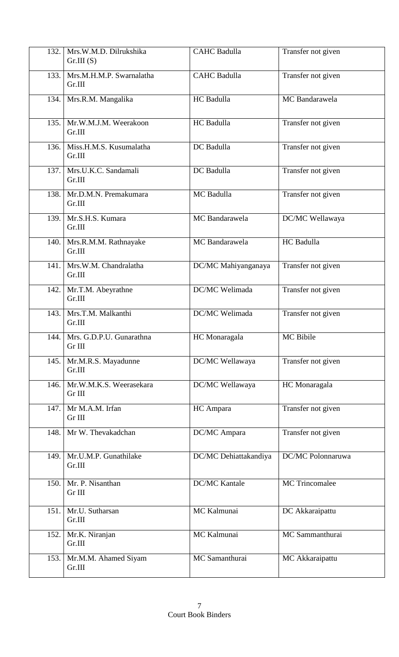| 132. | Mrs.W.M.D. Dilrukshika<br>Gr.III(S)       | <b>CAHC Badulla</b>   | Transfer not given |
|------|-------------------------------------------|-----------------------|--------------------|
| 133. | Mrs.M.H.M.P. Swarnalatha<br>Gr.III        | <b>CAHC Badulla</b>   | Transfer not given |
| 134. | Mrs.R.M. Mangalika                        | HC Badulla            | MC Bandarawela     |
| 135. | Mr.W.M.J.M. Weerakoon<br>Gr.III           | HC Badulla            | Transfer not given |
| 136. | Miss.H.M.S. Kusumalatha<br>Gr.III         | DC Badulla            | Transfer not given |
| 137. | Mrs.U.K.C. Sandamali<br>Gr.III            | DC Badulla            | Transfer not given |
| 138. | Mr.D.M.N. Premakumara<br>Gr.III           | MC Badulla            | Transfer not given |
| 139. | Mr.S.H.S. Kumara<br>Gr.III                | MC Bandarawela        | DC/MC Wellawaya    |
| 140. | Mrs.R.M.M. Rathnayake<br>Gr.III           | MC Bandarawela        | HC Badulla         |
| 141. | Mrs.W.M. Chandralatha<br>Gr.III           | DC/MC Mahiyanganaya   | Transfer not given |
| 142. | Mr.T.M. Abeyrathne<br>Gr.III              | DC/MC Welimada        | Transfer not given |
| 143. | Mrs.T.M. Malkanthi<br>Gr.III              | <b>DC/MC</b> Welimada | Transfer not given |
|      | 144.   Mrs. G.D.P.U. Gunarathna<br>Gr III | HC Monaragala         | MC Bibile          |
| 145. | Mr.M.R.S. Mayadunne<br>Gr.III             | DC/MC Wellawaya       | Transfer not given |
| 146. | Mr.W.M.K.S. Weerasekara<br>Gr III         | DC/MC Wellawaya       | HC Monaragala      |
| 147. | Mr M.A.M. Irfan<br>Gr III                 | HC Ampara             | Transfer not given |
| 148. | Mr W. Thevakadchan                        | DC/MC Ampara          | Transfer not given |
| 149. | Mr.U.M.P. Gunathilake<br>Gr.III           | DC/MC Dehiattakandiya | DC/MC Polonnaruwa  |
| 150. | Mr. P. Nisanthan<br>Gr III                | <b>DC/MC Kantale</b>  | MC Trincomalee     |
| 151. | Mr.U. Sutharsan<br>Gr.III                 | MC Kalmunai           | DC Akkaraipattu    |
| 152. | Mr.K. Niranjan<br>Gr.III                  | MC Kalmunai           | MC Sammanthurai    |
| 153. | Mr.M.M. Ahamed Siyam<br>Gr.III            | MC Samanthurai        | MC Akkaraipattu    |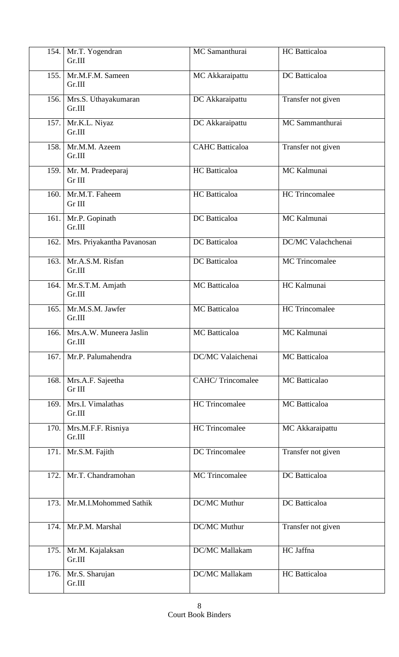| 154. | Mr.T. Yogendran<br>Gr.III              | MC Samanthurai          | HC Batticaloa         |
|------|----------------------------------------|-------------------------|-----------------------|
| 155. | Mr.M.F.M. Sameen<br>Gr.III             | MC Akkaraipattu         | DC Batticaloa         |
| 156. | Mrs.S. Uthayakumaran<br>Gr.III         | DC Akkaraipattu         | Transfer not given    |
|      | 157. Mr.K.L. Niyaz<br>Gr.III           | DC Akkaraipattu         | MC Sammanthurai       |
| 158. | Mr.M.M. Azeem<br>Gr.III                | <b>CAHC</b> Batticaloa  | Transfer not given    |
|      | 159. Mr. M. Pradeeparaj<br>Gr III      | <b>HC</b> Batticaloa    | MC Kalmunai           |
| 160. | Mr.M.T. Faheem<br>Gr III               | <b>HC</b> Batticaloa    | HC Trincomalee        |
| 161. | Mr.P. Gopinath<br>Gr.III               | DC Batticaloa           | MC Kalmunai           |
| 162. | Mrs. Priyakantha Pavanosan             | DC Batticaloa           | DC/MC Valachchenai    |
| 163. | Mr.A.S.M. Risfan<br>Gr.III             | DC Batticaloa           | <b>MC</b> Trincomalee |
| 164. | Mr.S.T.M. Amjath<br>Gr.III             | MC Batticaloa           | HC Kalmunai           |
| 165. | Mr.M.S.M. Jawfer<br>Gr.III             | <b>MC</b> Batticaloa    | <b>HC</b> Trincomalee |
|      | 166. Mrs.A.W. Muneera Jaslin<br>Gr.III | <b>MC</b> Batticaloa    | MC Kalmunai           |
| 167. | Mr.P. Palumahendra                     | DC/MC Valaichenai       | <b>MC</b> Batticaloa  |
| 168. | Mrs.A.F. Sajeetha<br>Gr III            | <b>CAHC/Trincomalee</b> | <b>MC</b> Batticalao  |
| 169. | Mrs.I. Vimalathas<br>Gr.III            | <b>HC</b> Trincomalee   | <b>MC</b> Batticaloa  |
| 170. | Mrs.M.F.F. Risniya<br>Gr.III           | <b>HC</b> Trincomalee   | MC Akkaraipattu       |
| 171. | Mr.S.M. Fajith                         | DC Trincomalee          | Transfer not given    |
| 172. | Mr.T. Chandramohan                     | <b>MC</b> Trincomalee   | DC Batticaloa         |
| 173. | Mr.M.I.Mohommed Sathik                 | DC/MC Muthur            | DC Batticaloa         |
| 174. | Mr.P.M. Marshal                        | DC/MC Muthur            | Transfer not given    |
| 175. | Mr.M. Kajalaksan<br>Gr.III             | DC/MC Mallakam          | HC Jaffna             |
| 176. | Mr.S. Sharujan<br>Gr.III               | DC/MC Mallakam          | <b>HC</b> Batticaloa  |